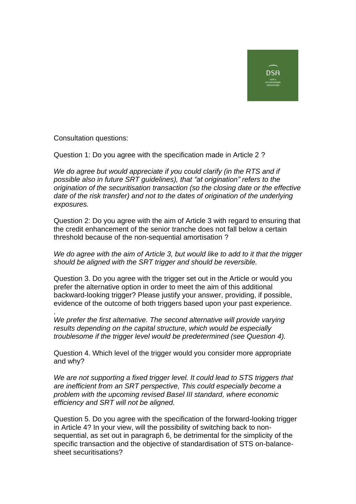

Consultation questions:

Question 1: Do you agree with the specification made in Article 2 ?

*We do agree but would appreciate if you could clarify (in the RTS and if possible also in future SRT guidelines), that "at origination" refers to the origination of the securitisation transaction (so the closing date or the effective date of the risk transfer) and not to the dates of origination of the underlying exposures.*

Question 2: Do you agree with the aim of Article 3 with regard to ensuring that the credit enhancement of the senior tranche does not fall below a certain threshold because of the non-sequential amortisation ?

*We do agree with the aim of Article 3, but would like to add to it that the trigger should be aligned with the SRT trigger and should be reversible.*

Question 3. Do you agree with the trigger set out in the Article or would you prefer the alternative option in order to meet the aim of this additional backward-looking trigger? Please justify your answer, providing, if possible, evidence of the outcome of both triggers based upon your past experience.

. *We prefer the first alternative. The second alternative will provide varying results depending on the capital structure, which would be especially troublesome if the trigger level would be predetermined (see Question 4).*

Question 4. Which level of the trigger would you consider more appropriate and why?

*We are not supporting a fixed trigger level. It could lead to STS triggers that are inefficient from an SRT perspective, This could especially become a problem with the upcoming revised Basel III standard, where economic efficiency and SRT will not be aligned.*

Question 5. Do you agree with the specification of the forward-looking trigger in Article 4? In your view, will the possibility of switching back to nonsequential, as set out in paragraph 6, be detrimental for the simplicity of the specific transaction and the objective of standardisation of STS on-balancesheet securitisations?